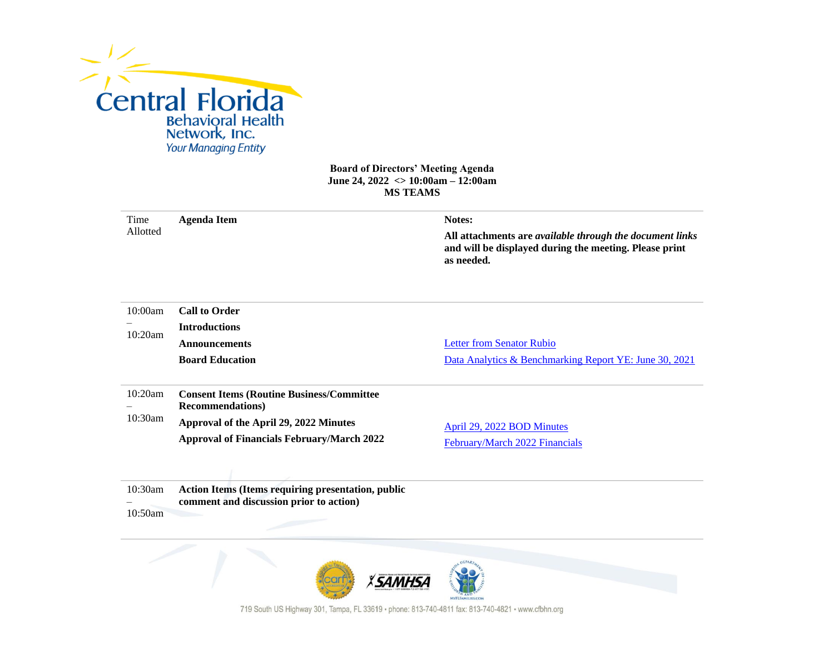

## **Board of Directors' Meeting Agenda June 24, 2022 <> 10:00am – 12:00am MS TEAMS**

| Time               | <b>Agenda Item</b>                                                                            | Notes:                                                                                                                           |  |
|--------------------|-----------------------------------------------------------------------------------------------|----------------------------------------------------------------------------------------------------------------------------------|--|
| Allotted           |                                                                                               | All attachments are available through the document links<br>and will be displayed during the meeting. Please print<br>as needed. |  |
| 10:00am            | <b>Call to Order</b>                                                                          |                                                                                                                                  |  |
| 10:20am            | <b>Introductions</b>                                                                          |                                                                                                                                  |  |
|                    | <b>Announcements</b>                                                                          | <b>Letter from Senator Rubio</b>                                                                                                 |  |
|                    | <b>Board Education</b>                                                                        | Data Analytics & Benchmarking Report YE: June 30, 2021                                                                           |  |
| 10:20am<br>10:30am | <b>Consent Items (Routine Business/Committee)</b><br><b>Recommendations</b> )                 |                                                                                                                                  |  |
|                    | Approval of the April 29, 2022 Minutes                                                        | April 29, 2022 BOD Minutes                                                                                                       |  |
|                    | <b>Approval of Financials February/March 2022</b>                                             | February/March 2022 Financials                                                                                                   |  |
|                    |                                                                                               |                                                                                                                                  |  |
| 10:30am<br>10:50am | Action Items (Items requiring presentation, public<br>comment and discussion prior to action) |                                                                                                                                  |  |
|                    |                                                                                               |                                                                                                                                  |  |



719 South US Highway 301, Tampa, FL 33619 · phone: 813-740-4811 fax: 813-740-4821 · www.cfbhn.org